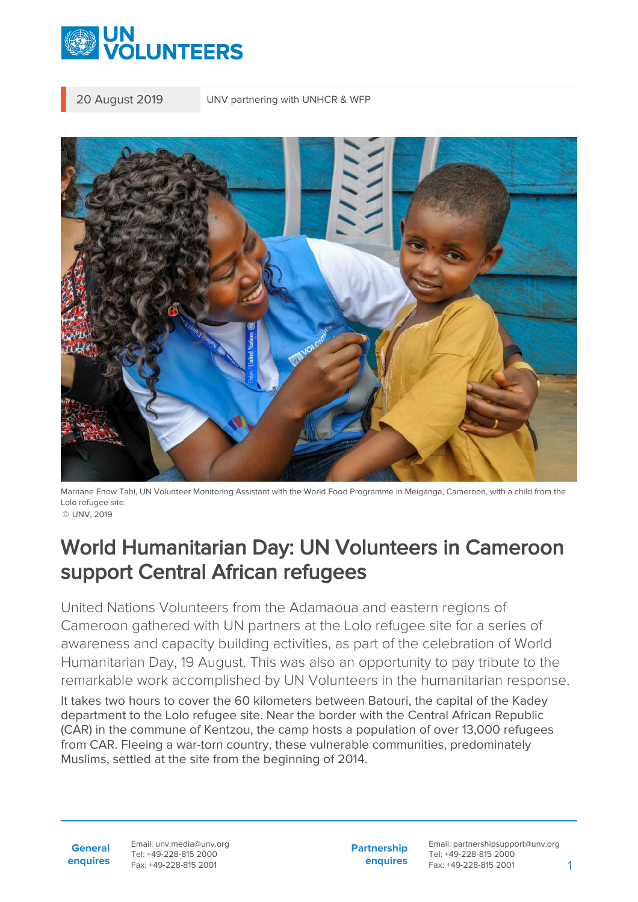

20 August 2019 UNV partnering with UNHCR & WFP



Marriane Enow Tabi, UN Volunteer Monitoring Assistant with the World Food Programme in Meiganga, Cameroon, with a child from the Lolo refugee site. © UNV, 2019

## World Humanitarian Day: UN Volunteers in Cameroon support Central African refugees

United Nations Volunteers from the Adamaoua and eastern regions of Cameroon gathered with UN partners at the Lolo refugee site for a series of awareness and capacity building activities, as part of the celebration of World Humanitarian Day, 19 August. This was also an opportunity to pay tribute to the remarkable work accomplished by UN Volunteers in the humanitarian response.

It takes two hours to cover the 60 kilometers between Batouri, the capital of the Kadey department to the Lolo refugee site. Near the border with the Central African Republic (CAR) in the commune of Kentzou, the camp hosts a population of over 13,000 refugees from CAR. Fleeing a war-torn country, these vulnerable communities, predominately Muslims, settled at the site from the beginning of 2014.

**General enquires** Email: unv.media@unv.org Tel: +49-228-815 2000 Fax: +49-228-815 2001

**Partnership enquires** Email: partnershipsupport@unv.org Tel: +49-228-815 2000 Fax: +49-228-815 2001 1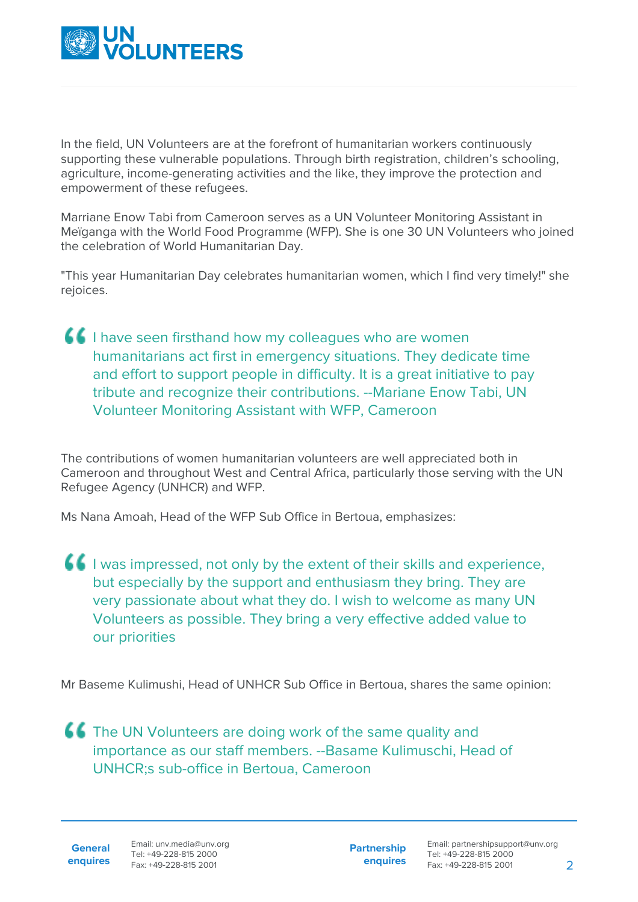

In the field, UN Volunteers are at the forefront of humanitarian workers continuously supporting these vulnerable populations. Through birth registration, children's schooling, agriculture, income-generating activities and the like, they improve the protection and empowerment of these refugees.

Marriane Enow Tabi from Cameroon serves as a UN Volunteer Monitoring Assistant in Meïganga with the World Food Programme (WFP). She is one 30 UN Volunteers who joined the celebration of World Humanitarian Day.

"This year Humanitarian Day celebrates humanitarian women, which I find very timely!" she rejoices.

**If** I have seen firsthand how my colleagues who are women humanitarians act first in emergency situations. They dedicate time and effort to support people in difficulty. It is a great initiative to pay tribute and recognize their contributions. --Mariane Enow Tabi, UN Volunteer Monitoring Assistant with WFP, Cameroon

The contributions of women humanitarian volunteers are well appreciated both in Cameroon and throughout West and Central Africa, particularly those serving with the UN Refugee Agency (UNHCR) and WFP.

Ms Nana Amoah, Head of the WFP Sub Office in Bertoua, emphasizes:

I was impressed, not only by the extent of their skills and experience, but especially by the support and enthusiasm they bring. They are very passionate about what they do. I wish to welcome as many UN Volunteers as possible. They bring a very effective added value to our priorities

Mr Baseme Kulimushi, Head of UNHCR Sub Office in Bertoua, shares the same opinion:

**CC** The UN Volunteers are doing work of the same quality and importance as our staff members. --Basame Kulimuschi, Head of UNHCR;s sub-office in Bertoua, Cameroon

**General enquires** **Partnership enquires**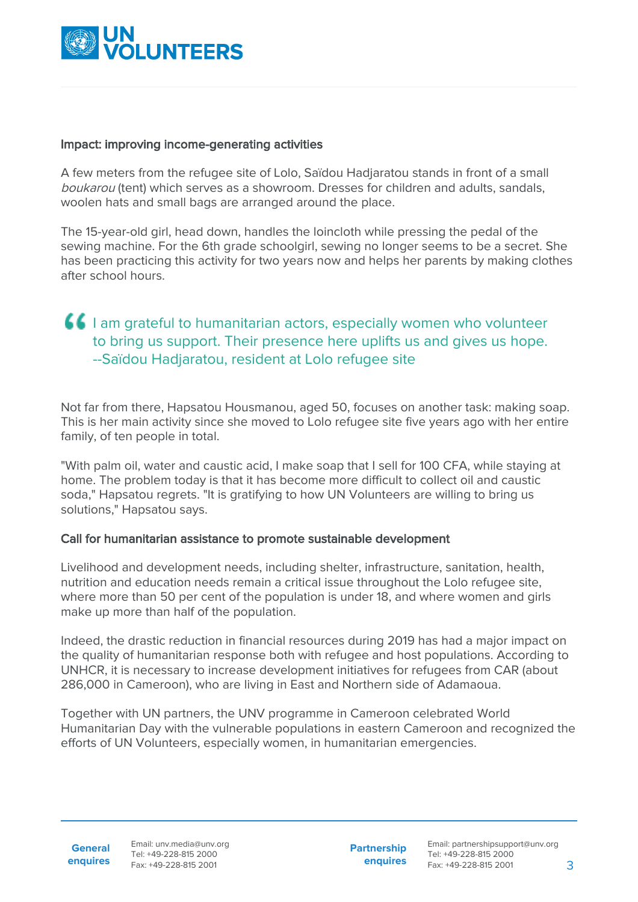

#### Impact: improving income-generating activities

A few meters from the refugee site of Lolo, Saïdou Hadjaratou stands in front of a small boukarou (tent) which serves as a showroom. Dresses for children and adults, sandals, woolen hats and small bags are arranged around the place.

The 15-year-old girl, head down, handles the loincloth while pressing the pedal of the sewing machine. For the 6th grade schoolgirl, sewing no longer seems to be a secret. She has been practicing this activity for two years now and helps her parents by making clothes after school hours.

### **I** am grateful to humanitarian actors, especially women who volunteer to bring us support. Their presence here uplifts us and gives us hope. --Saïdou Hadjaratou, resident at Lolo refugee site

Not far from there, Hapsatou Housmanou, aged 50, focuses on another task: making soap. This is her main activity since she moved to Lolo refugee site five years ago with her entire family, of ten people in total.

"With palm oil, water and caustic acid, I make soap that I sell for 100 CFA, while staying at home. The problem today is that it has become more difficult to collect oil and caustic soda," Hapsatou regrets. "It is gratifying to how UN Volunteers are willing to bring us solutions," Hapsatou says.

#### Call for humanitarian assistance to promote sustainable development

Livelihood and development needs, including shelter, infrastructure, sanitation, health, nutrition and education needs remain a critical issue throughout the Lolo refugee site, where more than 50 per cent of the population is under 18, and where women and girls make up more than half of the population.

Indeed, the drastic reduction in financial resources during 2019 has had a major impact on the quality of humanitarian response both with refugee and host populations. According to UNHCR, it is necessary to increase development initiatives for refugees from CAR (about 286,000 in Cameroon), who are living in East and Northern side of Adamaoua.

Together with UN partners, the UNV programme in Cameroon celebrated World Humanitarian Day with the vulnerable populations in eastern Cameroon and recognized the efforts of UN Volunteers, especially women, in humanitarian emergencies.

**Partnership enquires**